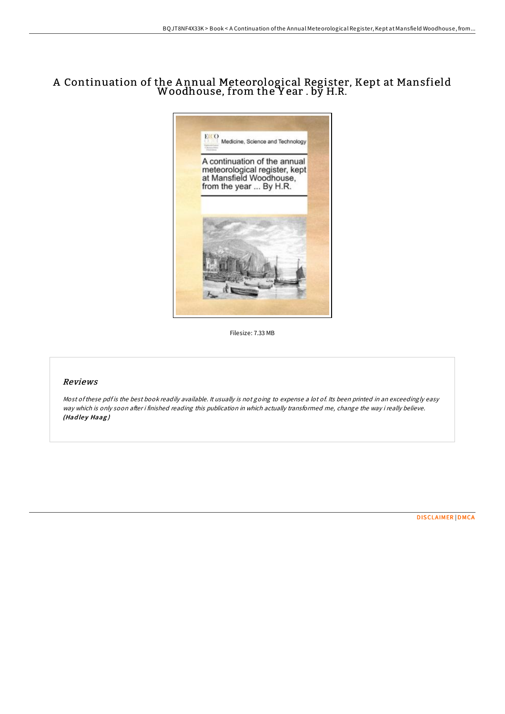## A Continuation of the A nnual Meteorological Register, Kept at Mansfield Woodhouse, from the Y ear . by H.R.



Filesize: 7.33 MB

## Reviews

Most of these pdf is the best book readily available. It usually is not going to expense a lot of. Its been printed in an exceedingly easy way which is only soon after i finished reading this publication in which actually transformed me, change the way i really believe. (Hadley Haag)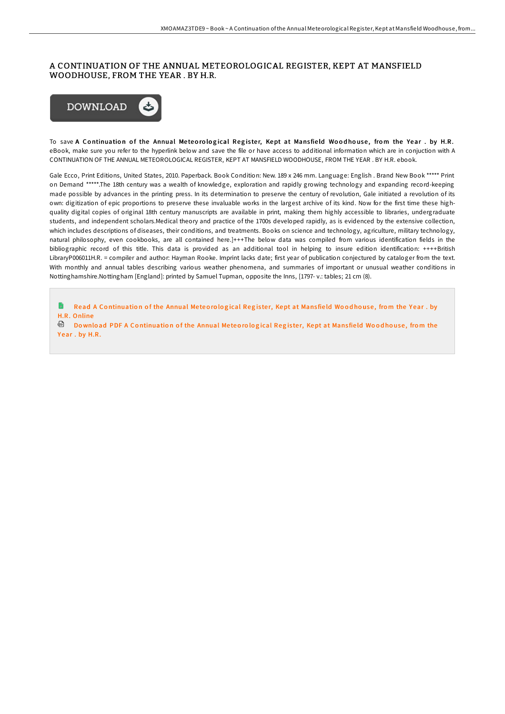## A CONTINUATION OF THE ANNUAL METEOROLOGICAL REGISTER, KEPT AT MANSFIELD WOODHOUSE, FROM THE YEAR . BY H.R.



To save A Continuation of the Annual Meteorological Register, Kept at Mansfield Woodhouse, from the Year. by H.R. eBook, make sure you refer to the hyperlink below and save the file or have access to additional information which are in conjuction with A CONTINUATION OF THE ANNUAL METEOROLOGICAL REGISTER, KEPT AT MANSFIELD WOODHOUSE, FROM THE YEAR . BY H.R. ebook.

Gale Ecco, Print Editions, United States, 2010. Paperback. Book Condition: New. 189 x 246 mm. Language: English . Brand New Book \*\*\*\*\* Print on Demand \*\*\*\*\*.The 18th century was a wealth of knowledge, exploration and rapidly growing technology and expanding record-keeping made possible by advances in the printing press. In its determination to preserve the century of revolution, Gale initiated a revolution of its own: digitization of epic proportions to preserve these invaluable works in the largest archive of its kind. Now for the first time these highquality digital copies of original 18th century manuscripts are available in print, making them highly accessible to libraries, undergraduate students, and independent scholars.Medical theory and practice of the 1700s developed rapidly, as is evidenced by the extensive collection, which includes descriptions of diseases, their conditions, and treatments. Books on science and technology, agriculture, military technology, natural philosophy, even cookbooks, are all contained here.]+++The below data was compiled from various identification fields in the bibliographic record of this title. This data is provided as an additional tool in helping to insure edition identification: ++++British LibraryP006011H.R. = compiler and author: Hayman Rooke. Imprint lacks date; first year of publication conjectured by cataloger from the text. With monthly and annual tables describing various weather phenomena, and summaries of important or unusual weather conditions in Nottinghamshire.Nottingham [England]: printed by Samuel Tupman, opposite the Inns, [1797- v.: tables; 21 cm (8).

G. Read A Co[ntinuatio](http://almighty24.tech/a-continuation-of-the-annual-meteorological-regi-1.html)n of the Annual Meteorological Register, Kept at Mansfield Woodhouse, from the Year . by H.R. Online

<sup>回</sup> Download PDF A Co[ntinuatio](http://almighty24.tech/a-continuation-of-the-annual-meteorological-regi-1.html)n of the Annual Meteorological Register, Kept at Mansfield Woodhouse, from the Year. by H.R.